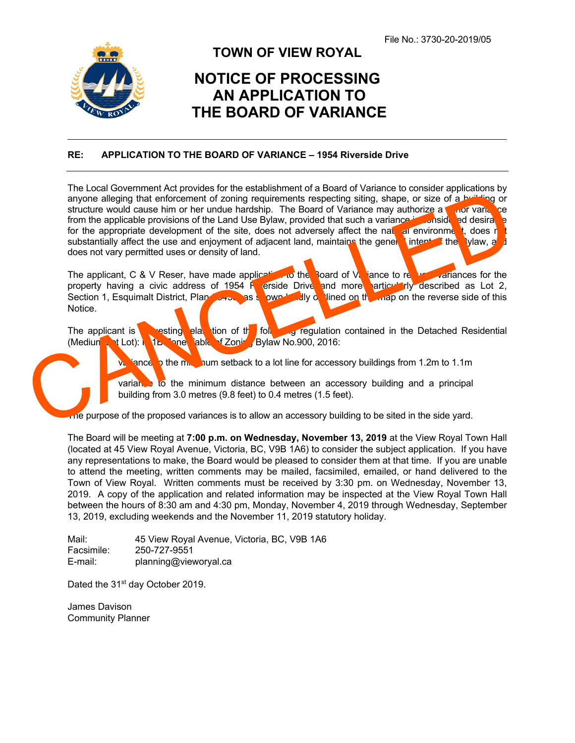

## **TOWN OF VIEW ROYAL**

## **NOTICE OF PROCESSING AN APPLICATION TO THE BOARD OF VARIANCE**

## **RE: APPLICATION TO THE BOARD OF VARIANCE – 1954 Riverside Drive**

The Local Government Act provides for the establishment of a Board of Variance to consider applications by anyone alleging that enforcement of zoning requirements respecting siting, shape, or size of a building or structure would cause him or her undue hardship. The Board of Variance may authorize a minor variance from the applicable provisions of the Land Use Bylaw, provided that such a variance is considered desirable for the appropriate development of the site, does not adversely affect the natural environment, does n substantially affect the use and enjoyment of adjacent land, maintains the general intent of the Bylaw, and does not vary permitted uses or density of land. The application of the state of the calibratic state of the mannet in the Detached Residential<br>
The paper of the minimum distance between an accessory building and a principal<br>
The paper of the application of the state of

The applicant, C & V Reser, have made application to the Board of Variance to request variances for the property having a civic address of 1954 R erside Drive and more particularly described as Lot 2, Section 1, Esquimalt District, Plan  $\sim$  35 shown bully of lined on the map on the reverse side of this Notice.

The applicant is resting elation of the following regulation contained in the Detached Residential (Medium Lot): R-1B Zone Table of Zoning Bylaw No.900, 2016:

iance to the m<sub>inimu</sub>m setback to a lot line for accessory buildings from 1.2m to 1.1m

variance to the minimum distance between an accessory building and a principal building from 3.0 metres (9.8 feet) to 0.4 metres (1.5 feet).

The purpose of the proposed variances is to allow an accessory building to be sited in the side yard.

The Board will be meeting at **7:00 p.m. on Wednesday, November 13, 2019** at the View Royal Town Hall (located at 45 View Royal Avenue, Victoria, BC, V9B 1A6) to consider the subject application. If you have any representations to make, the Board would be pleased to consider them at that time. If you are unable to attend the meeting, written comments may be mailed, facsimiled, emailed, or hand delivered to the Town of View Royal. Written comments must be received by 3:30 pm. on Wednesday, November 13, 2019. A copy of the application and related information may be inspected at the View Royal Town Hall between the hours of 8:30 am and 4:30 pm, Monday, November 4, 2019 through Wednesday, September 13, 2019, excluding weekends and the November 11, 2019 statutory holiday.

Mail: 45 View Royal Avenue, Victoria, BC, V9B 1A6 Facsimile: 250-727-9551 E-mail: planning@vieworyal.ca

Dated the 31<sup>st</sup> day October 2019.

James Davison Community Planner